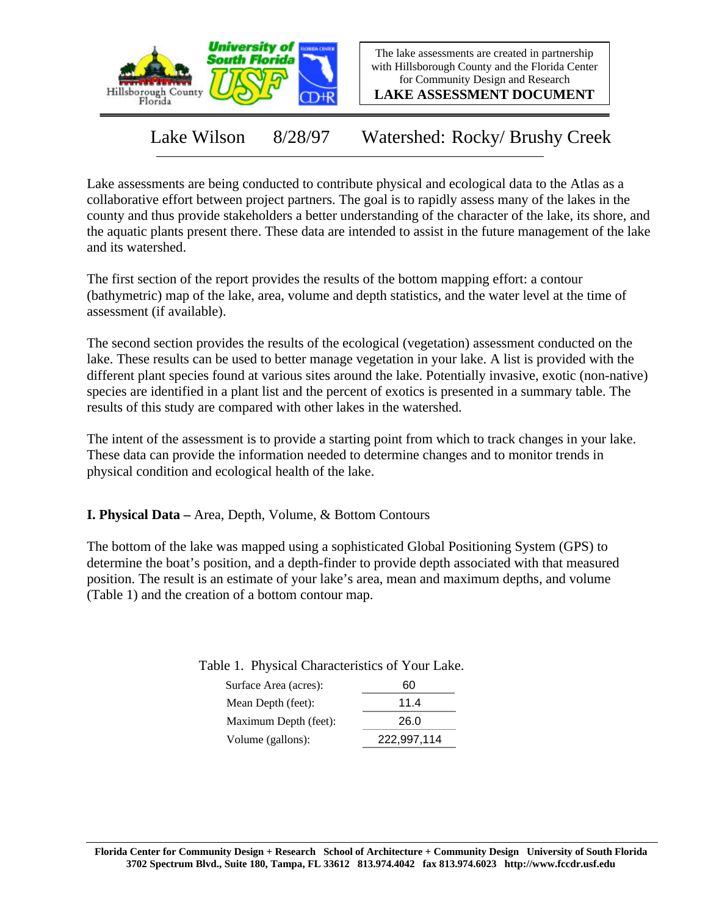

The lake assessments are created in partnership with Hillsborough County and the Florida Center for Community Design and Research

**LAKE ASSESSMENT DOCUMENT**

Lake Wilson 8/28/97 Watershed: Rocky/ Brushy Creek

Lake assessments are being conducted to contribute physical and ecological data to the Atlas as a collaborative effort between project partners. The goal is to rapidly assess many of the lakes in the county and thus provide stakeholders a better understanding of the character of the lake, its shore, and the aquatic plants present there. These data are intended to assist in the future management of the lake and its watershed.

The first section of the report provides the results of the bottom mapping effort: a contour (bathymetric) map of the lake, area, volume and depth statistics, and the water level at the time of assessment (if available).

The second section provides the results of the ecological (vegetation) assessment conducted on the lake. These results can be used to better manage vegetation in your lake. A list is provided with the different plant species found at various sites around the lake. Potentially invasive, exotic (non-native) species are identified in a plant list and the percent of exotics is presented in a summary table. The results of this study are compared with other lakes in the watershed.

The intent of the assessment is to provide a starting point from which to track changes in your lake. These data can provide the information needed to determine changes and to monitor trends in physical condition and ecological health of the lake.

**I. Physical Data –** Area, Depth, Volume, & Bottom Contours

The bottom of the lake was mapped using a sophisticated Global Positioning System (GPS) to determine the boat's position, and a depth-finder to provide depth associated with that measured position. The result is an estimate of your lake's area, mean and maximum depths, and volume (Table 1) and the creation of a bottom contour map.

Table 1. Physical Characteristics of Your Lake.

| 60          |
|-------------|
| 11.4        |
| 26.0        |
| 222,997,114 |
|             |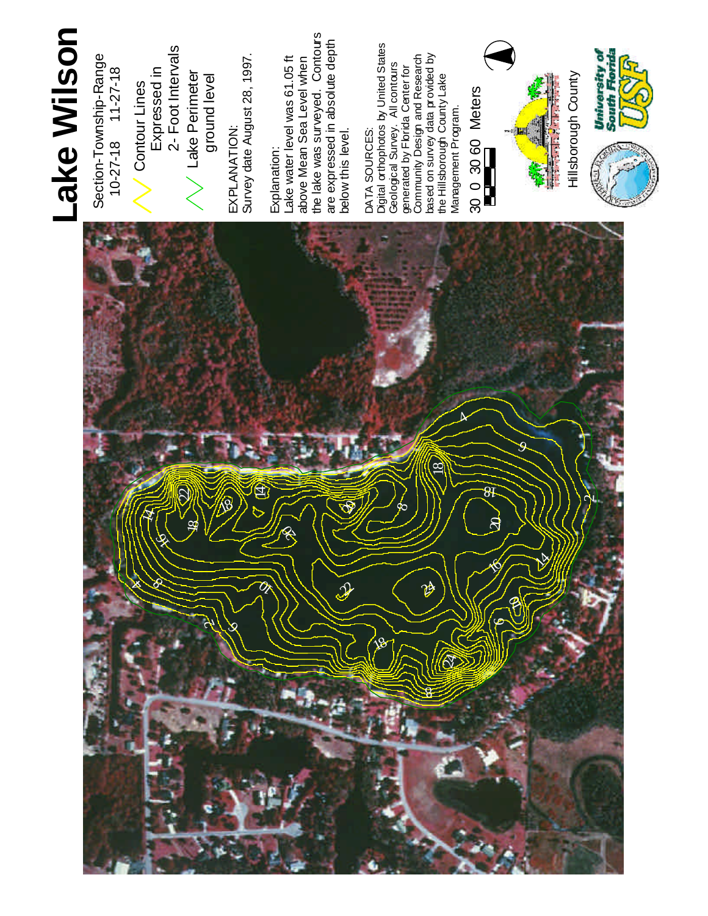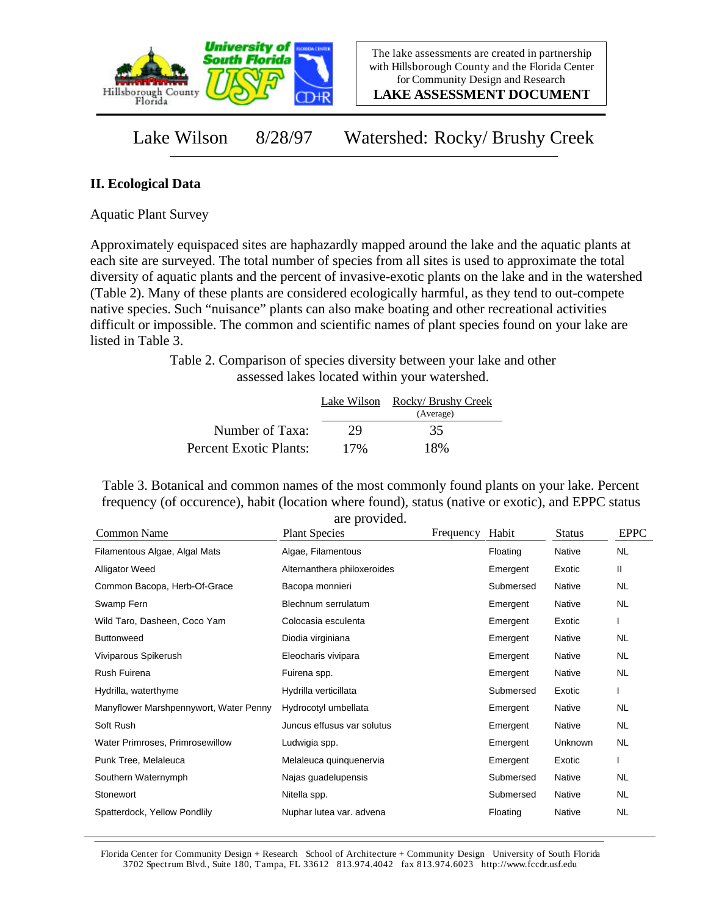

**LAKE ASSESSMENT DOCUMENT**

Lake Wilson 8/28/97 Watershed: Rocky/ Brushy Creek

## **II. Ecological Data**

Aquatic Plant Survey

Approximately equispaced sites are haphazardly mapped around the lake and the aquatic plants at each site are surveyed. The total number of species from all sites is used to approximate the total diversity of aquatic plants and the percent of invasive-exotic plants on the lake and in the watershed (Table 2). Many of these plants are considered ecologically harmful, as they tend to out-compete native species. Such "nuisance" plants can also make boating and other recreational activities difficult or impossible. The common and scientific names of plant species found on your lake are listed in Table 3.

> Table 2. Comparison of species diversity between your lake and other assessed lakes located within your watershed.

|                        | Lake Wilson | Rocky/ Brushy Creek<br>(Average) |
|------------------------|-------------|----------------------------------|
| Number of Taxa:        | 29          | 35                               |
| Percent Exotic Plants: | 17%         | 18%                              |

Table 3. Botanical and common names of the most commonly found plants on your lake. Percent frequency (of occurence), habit (location where found), status (native or exotic), and EPPC status are provided.

| Common Name                            | are provided.<br><b>Plant Species</b> | Frequency | Habit     | <b>Status</b> | <b>EPPC</b> |
|----------------------------------------|---------------------------------------|-----------|-----------|---------------|-------------|
| Filamentous Algae, Algal Mats          | Algae, Filamentous                    |           | Floating  | Native        | <b>NL</b>   |
| <b>Alligator Weed</b>                  | Alternanthera philoxeroides           |           | Emergent  | Exotic        | Ш           |
| Common Bacopa, Herb-Of-Grace           | Bacopa monnieri                       |           | Submersed | Native        | <b>NL</b>   |
| Swamp Fern                             | Blechnum serrulatum                   |           | Emergent  | Native        | <b>NL</b>   |
| Wild Taro, Dasheen, Coco Yam           | Colocasia esculenta                   |           | Emergent  | Exotic        |             |
| <b>Buttonweed</b>                      | Diodia virginiana                     |           | Emergent  | Native        | NL          |
| Viviparous Spikerush                   | Eleocharis vivipara                   |           | Emergent  | Native        | NL          |
| Rush Fuirena                           | Fuirena spp.                          |           | Emergent  | Native        | NL.         |
| Hydrilla, waterthyme                   | Hydrilla verticillata                 |           | Submersed | Exotic        |             |
| Manyflower Marshpennywort, Water Penny | Hydrocotyl umbellata                  |           | Emergent  | Native        | NL          |
| Soft Rush                              | Juncus effusus var solutus            |           | Emergent  | Native        | NL          |
| Water Primroses, Primrosewillow        | Ludwigia spp.                         |           | Emergent  | Unknown       | NL          |
| Punk Tree, Melaleuca                   | Melaleuca quinquenervia               |           | Emergent  | Exotic        |             |
| Southern Waternymph                    | Najas guadelupensis                   |           | Submersed | Native        | <b>NL</b>   |
| Stonewort                              | Nitella spp.                          |           | Submersed | Native        | NL.         |
| Spatterdock, Yellow Pondlily           | Nuphar lutea var. advena              |           | Floating  | Native        | <b>NL</b>   |

Florida Center for Community Design + Research School of Architecture + Community Design University of South Florida 3702 Spectrum Blvd., Suite 180, Tampa, FL 33612 813.974.4042 fax 813.974.6023 http://www.fccdr.usf.edu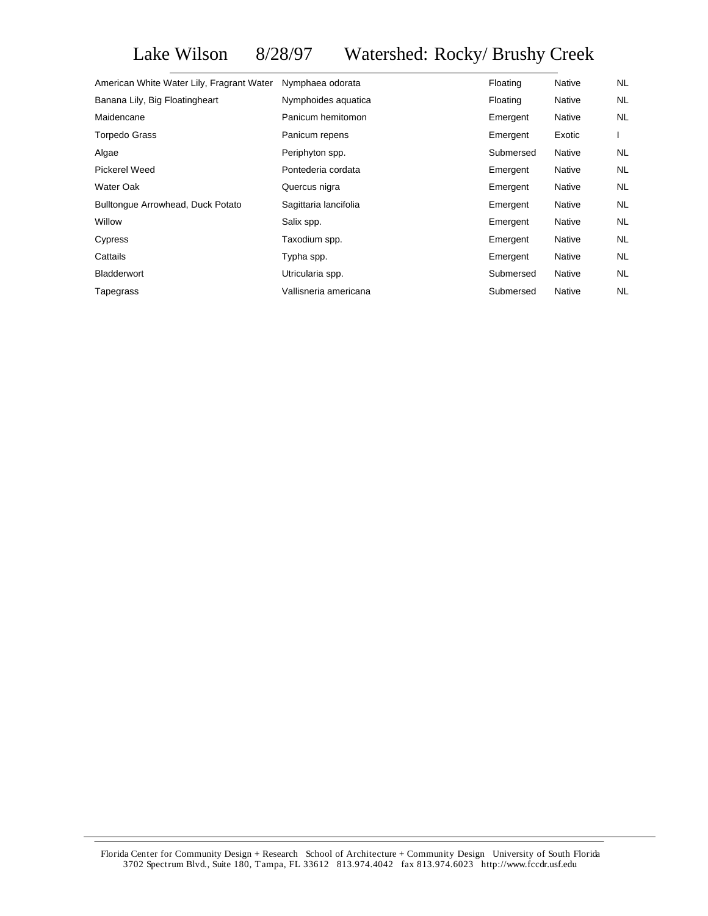Lake Wilson 8/28/97 Watershed: Rocky/ Brushy Creek

| Nymphaea odorata      | Floating  | <b>Native</b> | NL        |
|-----------------------|-----------|---------------|-----------|
| Nymphoides aquatica   | Floating  | Native        | <b>NL</b> |
| Panicum hemitomon     | Emergent  | <b>Native</b> | NL        |
| Panicum repens        | Emergent  | Exotic        |           |
| Periphyton spp.       | Submersed | Native        | NL.       |
| Pontederia cordata    | Emergent  | Native        | NL        |
| Quercus nigra         | Emergent  | Native        | NL        |
| Sagittaria lancifolia | Emergent  | Native        | NL        |
| Salix spp.            | Emergent  | Native        | <b>NL</b> |
| Taxodium spp.         | Emergent  | Native        | <b>NL</b> |
| Typha spp.            | Emergent  | Native        | <b>NL</b> |
| Utricularia spp.      | Submersed | Native        | <b>NL</b> |
| Vallisneria americana | Submersed | <b>Native</b> | <b>NL</b> |
|                       |           |               |           |

Florida Center for Community Design + Research School of Architecture + Community Design University of South Florida 3702 Spectrum Blvd., Suite 180, Tampa, FL 33612 813.974.4042 fax 813.974.6023 http://www.fccdr.usf.edu